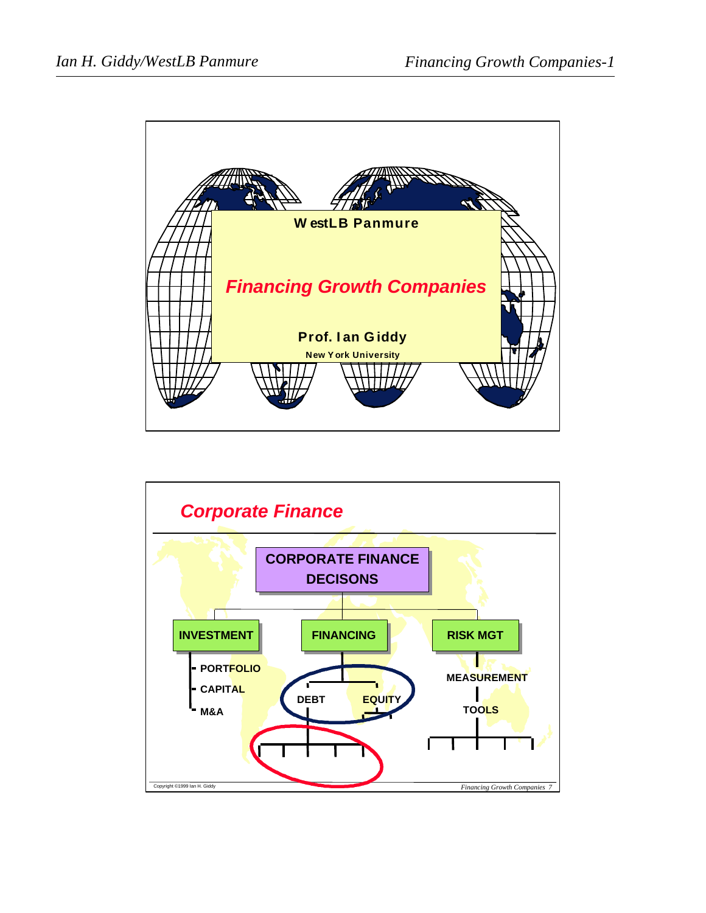

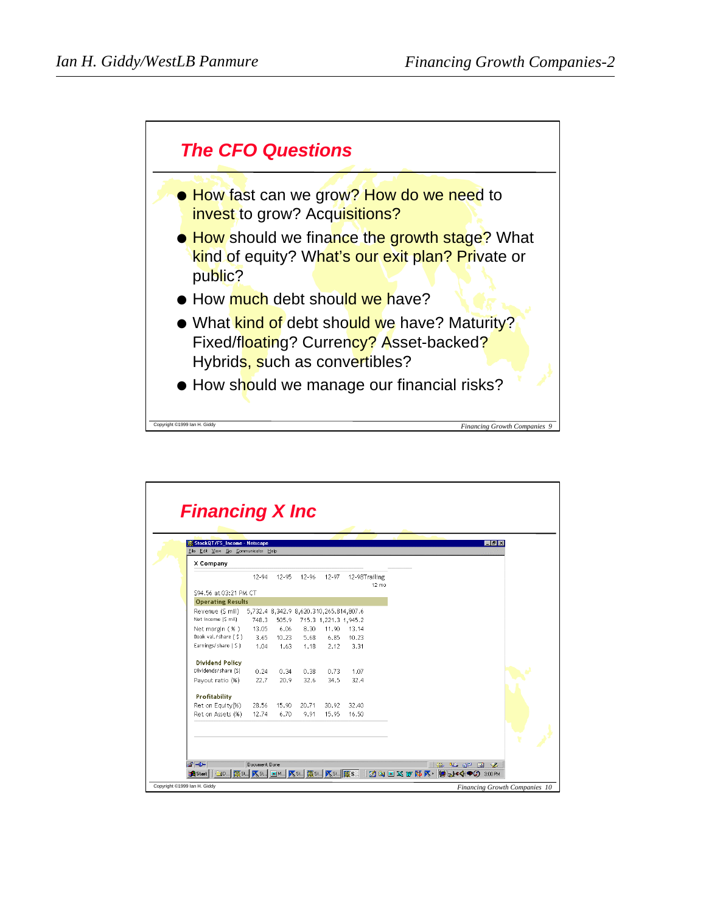

|                                             |                                                  | File Edit View Go Communicator Help |           |                       |               |       |  |
|---------------------------------------------|--------------------------------------------------|-------------------------------------|-----------|-----------------------|---------------|-------|--|
| X Company                                   |                                                  |                                     |           |                       |               |       |  |
|                                             | $12 - 94$                                        | $12 - 95$                           | $12 - 96$ | $12 - 97$             | 12-98Trailing | 12 mo |  |
| \$94.56 at 03:21 PM CT                      |                                                  |                                     |           |                       |               |       |  |
| <b>Operating Results</b><br>Revenue (S mil) |                                                  |                                     |           |                       |               |       |  |
| Net income (\$ mil)                         | 5,732.4 8,342.9 8,620.310,265.814,807.6<br>748.3 | 505.9                               |           | 715.3 1,221.3 1,945.2 |               |       |  |
| Net margin (%)                              | 13.05                                            | 6.06                                | 8.30      |                       | 11.90 13.14   |       |  |
| Book val./share (\$)                        | 3.65                                             | 10.23                               | 5.68      | 6.85                  | 10.23         |       |  |
| Earnings/share $(5)$                        | 1.04                                             | 1.63                                | 1.18      | 2.12                  | 3.31          |       |  |
| <b>Dividend Policy</b>                      |                                                  |                                     |           |                       |               |       |  |
| Dividends/share (\$)                        | 0.24                                             | 0.34                                | 0.38      | 0.73                  | 1.07          |       |  |
| Payout ratio (%)                            | 22.7                                             | 20.9                                | 32.6      | 34.5                  | 32.4          |       |  |
| Profitability                               |                                                  |                                     |           |                       |               |       |  |
| Ret on Equity(%)                            | 28.56                                            | 15.90                               | 20.71     | 30.92                 | 32.40         |       |  |
| Ret on Assets (%)                           | 12.74                                            | 6.70                                | 9.91      | 15.95                 | 16.50         |       |  |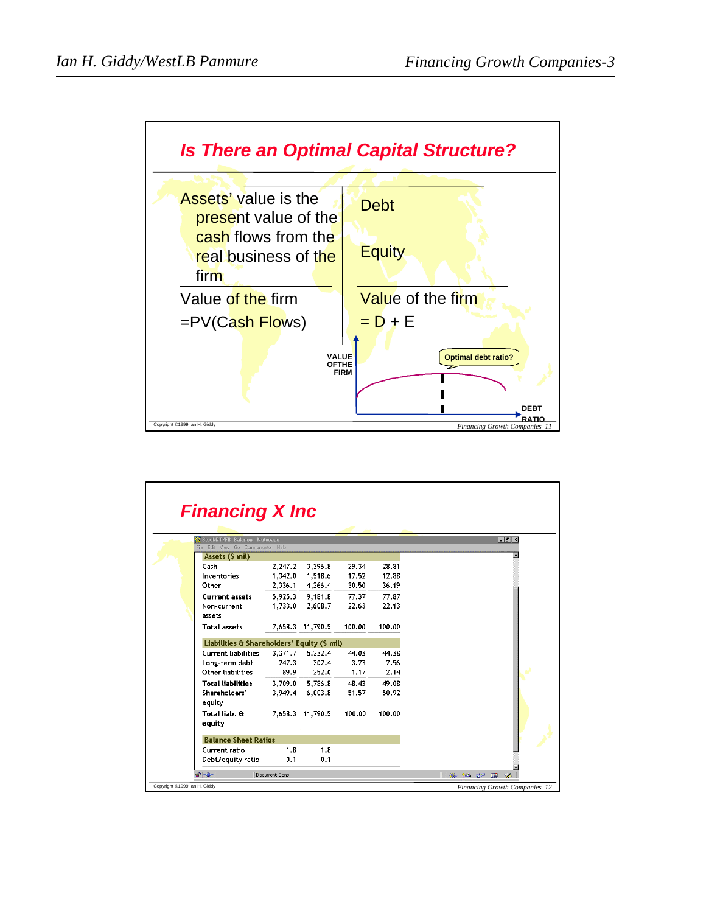

| <b>Ry StockQT/FS Balance - Netscape</b><br>File Edit View Go Communicator Help |         |                  |        |        | $-17$ $\times$ |
|--------------------------------------------------------------------------------|---------|------------------|--------|--------|----------------|
| Assets (\$ mil)                                                                |         |                  |        |        |                |
| Cash                                                                           | 2,247.2 | 3,396.8          | 29.34  | 28.81  |                |
| Inventories                                                                    | 1,342.0 | 1,518.6          | 17.52  | 12.88  |                |
| Other                                                                          | 2,336.1 | 4,266.4          | 30.50  | 36.19  |                |
| <b>Current assets</b>                                                          | 5,925.3 | 9,181.8          | 77.37  | 77.87  |                |
| Non-current<br>assets                                                          | 1,733.0 | 2,608.7          | 22.63  | 22.13  |                |
| <b>Total assets</b>                                                            |         | 7,658.3 11,790.5 | 100.00 | 100.00 |                |
| Liabilities & Shareholders' Equity (\$ mil)                                    |         |                  |        |        |                |
| <b>Current liabilities</b>                                                     | 3.371.7 | 5,232.4          | 44.03  | 44.38  |                |
| Long-term debt                                                                 | 247.3   | 302.4            | 3.23   | 2.56   |                |
| Other liabilities                                                              | 89.9    | 252.0            | 1.17   | 2.14   |                |
| <b>Total liabilities</b>                                                       | 3,709.0 | 5,786.8          | 48.43  | 49.08  |                |
| Shareholders'<br>equity                                                        | 3,949.4 | 6,003.8          | 51.57  | 50.92  |                |
| Total liab. &<br>equity                                                        |         | 7,658.3 11,790.5 | 100.00 | 100.00 |                |
| <b>Balance Sheet Ratios</b>                                                    |         |                  |        |        |                |
| Current ratio                                                                  | 1.8     | 1.8              |        |        |                |
| Debt/equity ratio                                                              | 0.1     | 0.1              |        |        |                |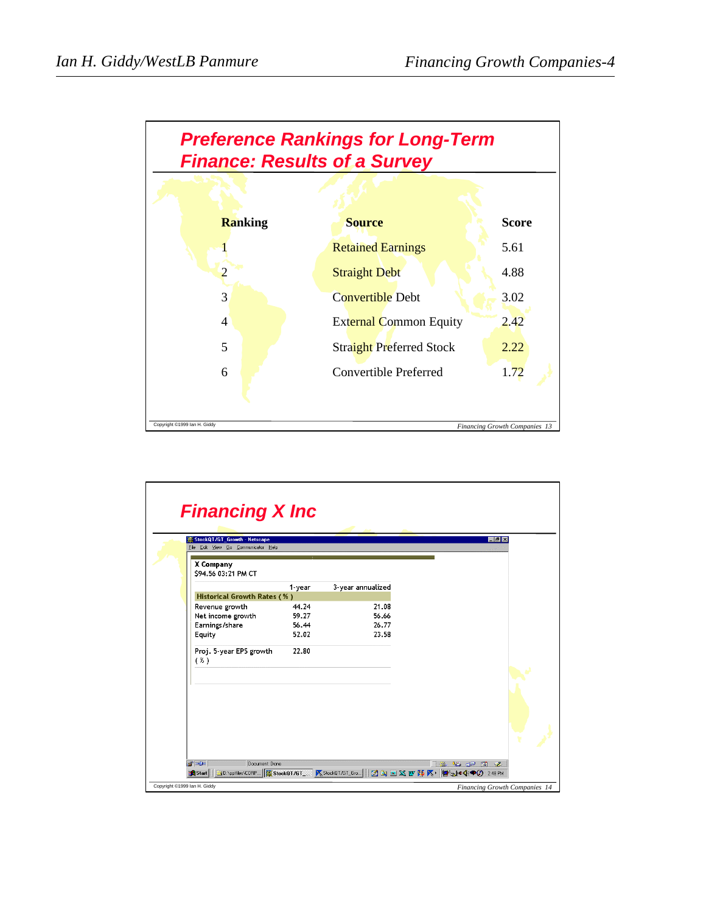

| 1-year                      |                         |                                     |
|-----------------------------|-------------------------|-------------------------------------|
| Historical Growth Rates (%) |                         |                                     |
| 44.24                       | 21.08                   |                                     |
| 59.27                       | 56.66                   |                                     |
|                             |                         |                                     |
|                             |                         |                                     |
|                             |                         |                                     |
|                             |                         |                                     |
|                             |                         |                                     |
|                             |                         |                                     |
|                             |                         |                                     |
|                             |                         |                                     |
|                             |                         |                                     |
|                             |                         |                                     |
|                             |                         |                                     |
|                             |                         |                                     |
|                             | 56.44<br>52.02<br>22.80 | 3-year annualized<br>26.77<br>23.58 |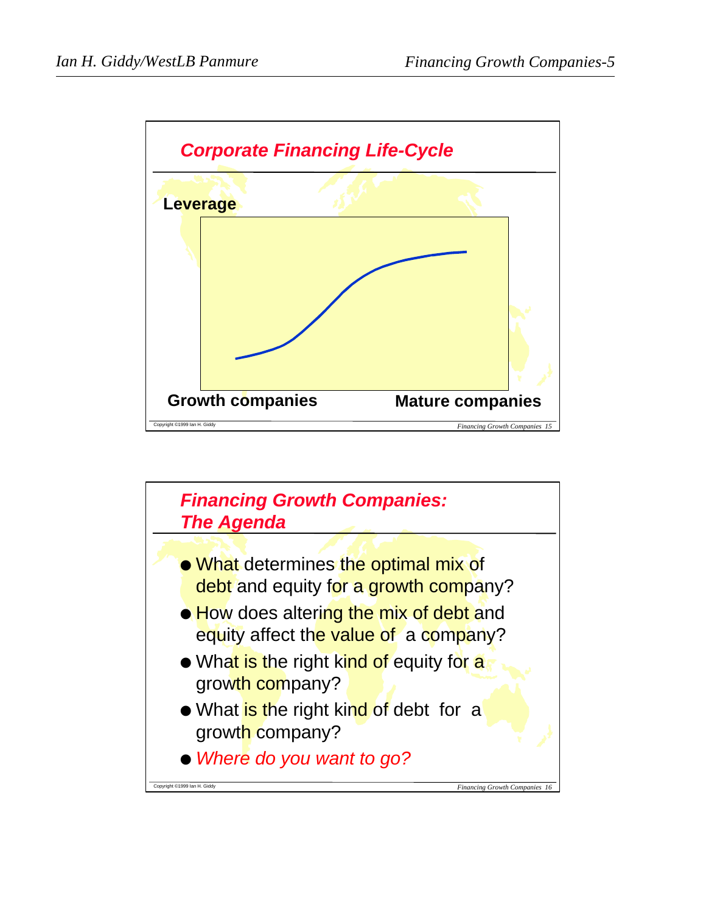

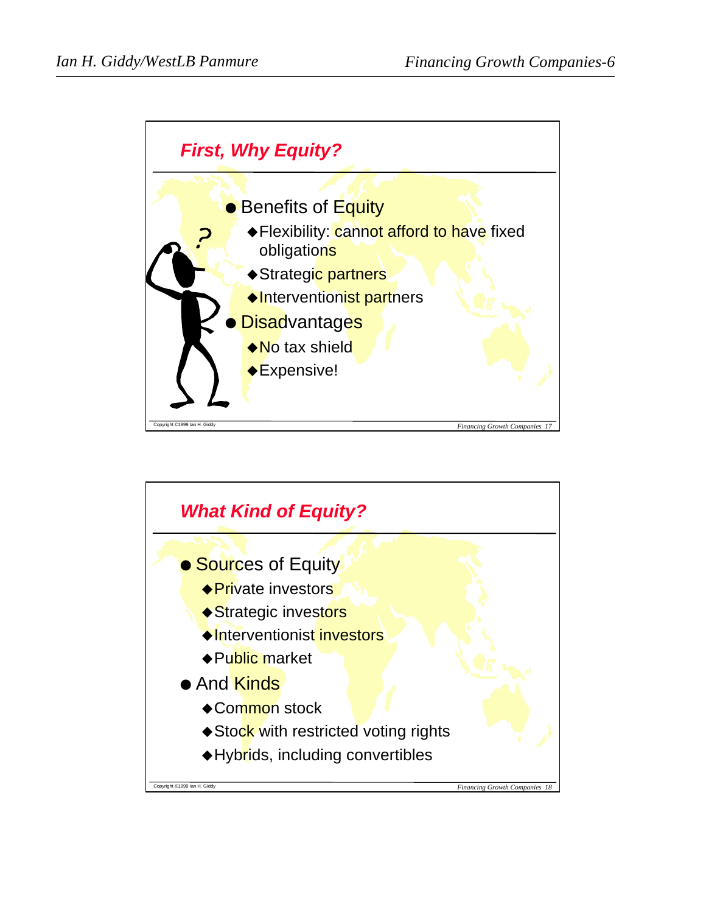

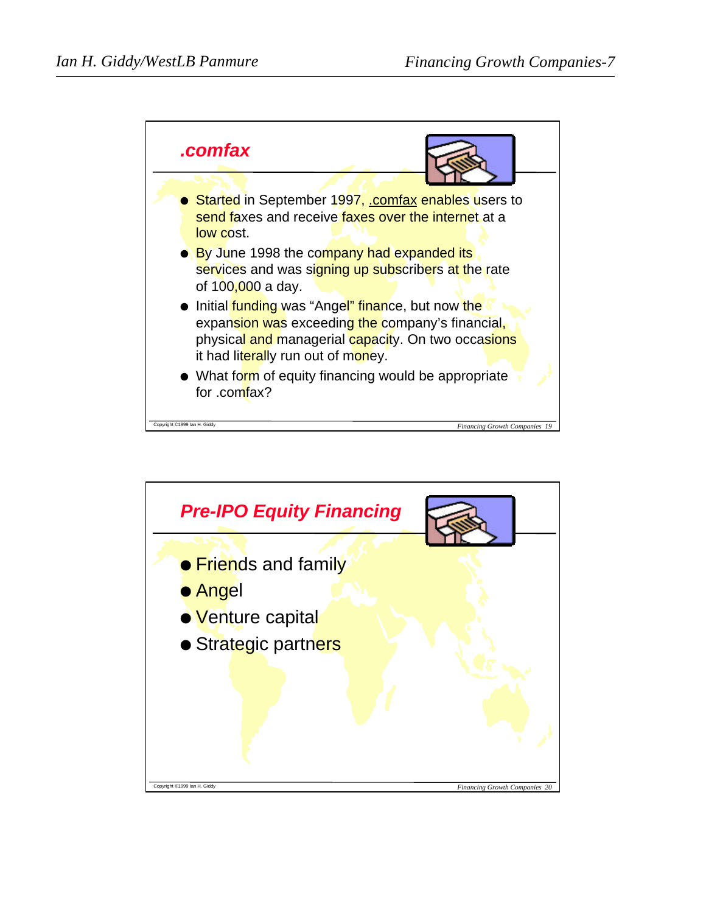

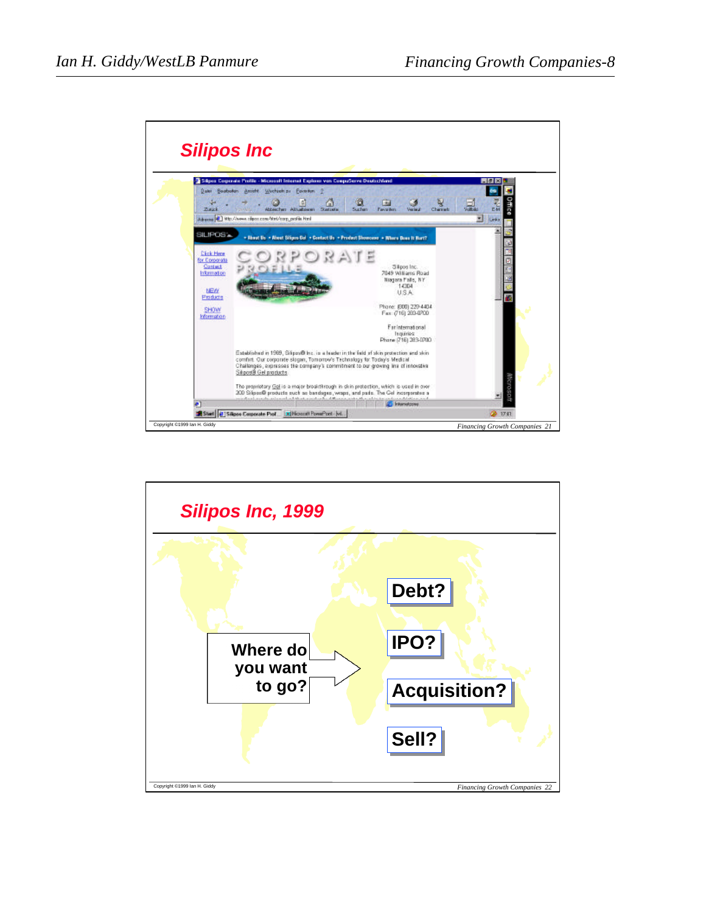

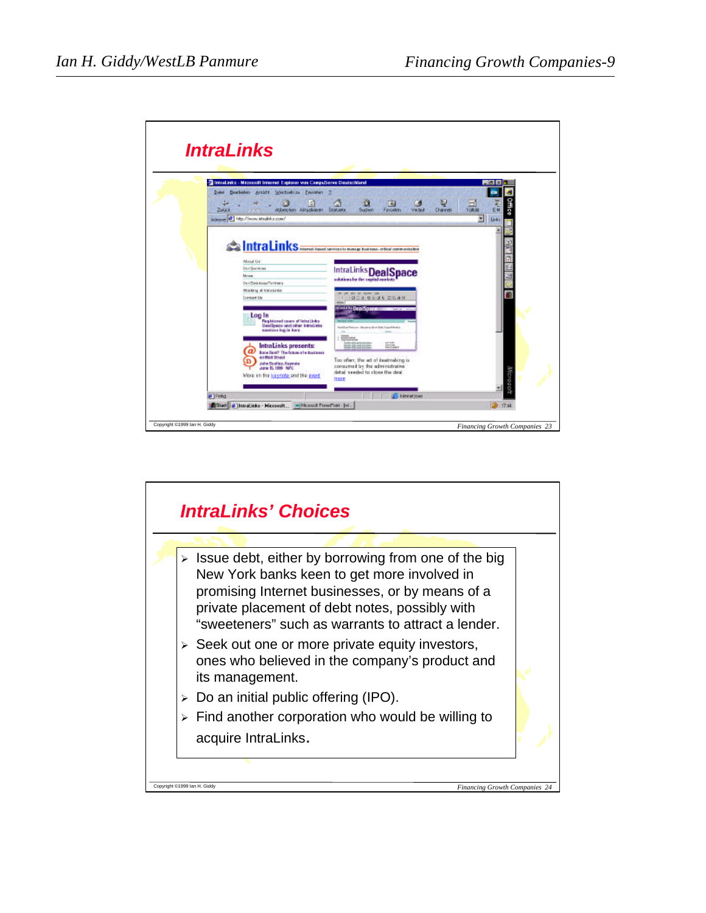

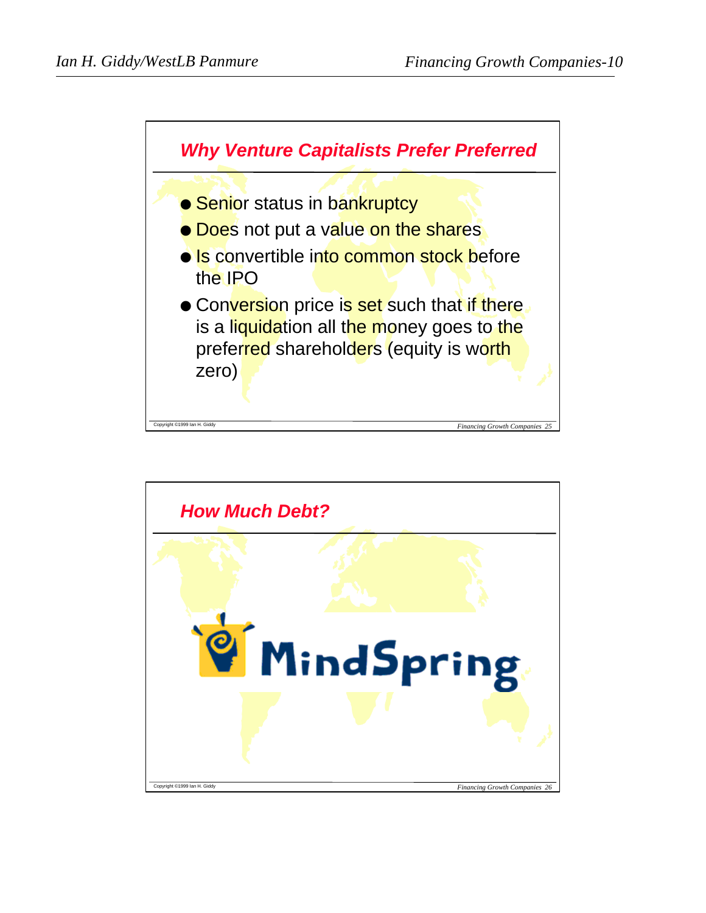

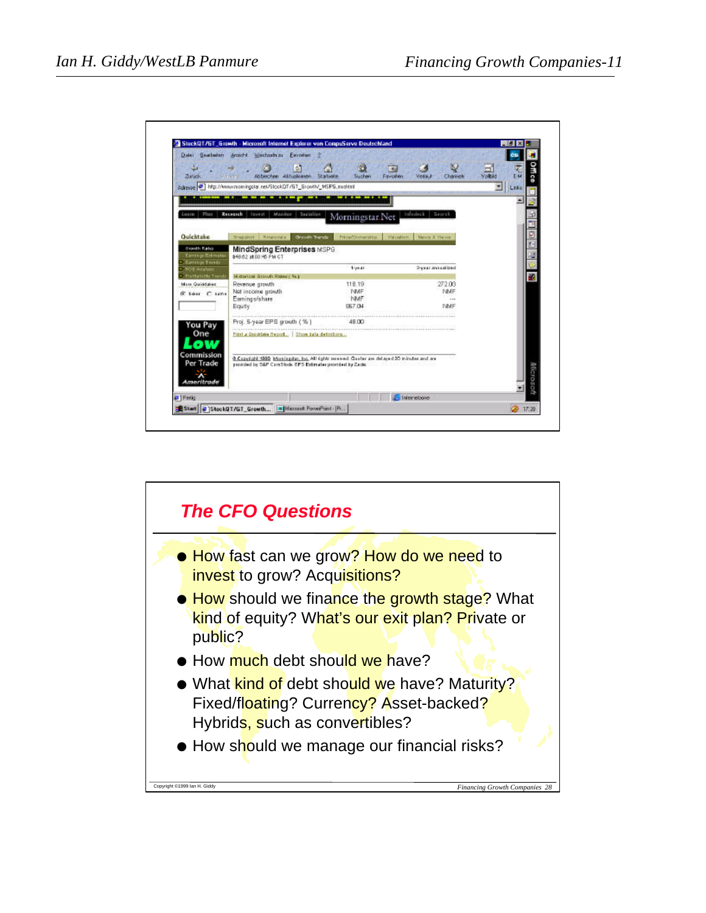| <b>Zurück</b>                                    | Abbechen Aktualoisen Statuelle                                                                                                                                | Suchen:         | ÷<br>Favoriten<br>Charrick<br>Vedaj j    | Volbild    |
|--------------------------------------------------|---------------------------------------------------------------------------------------------------------------------------------------------------------------|-----------------|------------------------------------------|------------|
|                                                  | Adresse (2) Mg://www.n.on.ingsts.net/StockDT/GT_Growth/_MSPG.nestitnl                                                                                         |                 |                                          | Ξ<br>Links |
|                                                  | <b><i><u>A DOM NO</u></i></b><br>$-1$<br>٠                                                                                                                    |                 |                                          |            |
| Learn -<br>Plan                                  | Research<br><b>Leward</b><br>Macina<br>Sacialize                                                                                                              | Morningstar Net | Indoclesi<br>Search                      |            |
|                                                  |                                                                                                                                                               |                 |                                          |            |
| <b>Ouicktake</b>                                 | Snapphot   Rinaschilla   Grondh Trands                                                                                                                        |                 | Fitze/Ovrarphip Valuation Meyer & Velver |            |
|                                                  |                                                                                                                                                               |                 |                                          |            |
| <b>Osseth Rates</b><br><b>Elimings Extra des</b> | MindSpring Enterprises MSPG<br>\$48.62 at 03 45 PM CT                                                                                                         |                 |                                          |            |
| <b>Earning Trends</b>                            |                                                                                                                                                               |                 |                                          |            |
| <b>BOE Arabets</b>                               |                                                                                                                                                               | $1 - p + 31$    | Systematical bad                         |            |
| · Finitiability Transfr                          | Historicas Growth Rales ( %)                                                                                                                                  |                 |                                          |            |
| Mate Quiddaked                                   | Revenue arowth                                                                                                                                                | 118.19          | 272.03                                   |            |
| G ideas C same                                   | Not income growth                                                                                                                                             | <b>NMF</b>      | NMF                                      |            |
|                                                  | Earnings/share                                                                                                                                                | <b>NMF</b>      | $10 - 10 = 10$                           |            |
|                                                  | Equity                                                                                                                                                        | S67.04          | <b>NMF</b>                               |            |
| You Pay                                          | <br>Proj. 5-year EPS prowth (%)                                                                                                                               | 48.00           |                                          |            |
| One                                              | Print a Buildidge Report   Show data detinitions                                                                                                              |                 |                                          |            |
| Commission                                       |                                                                                                                                                               |                 |                                          |            |
| Per Trade                                        | @ Capatight 1999 Islamingstar, Inc. All sights recorned. Gustas are delayed 20 minutes and are<br>provided by S&P Com Stock. EPS Extra deciprovided by Zapks. |                 |                                          |            |
|                                                  |                                                                                                                                                               |                 |                                          |            |

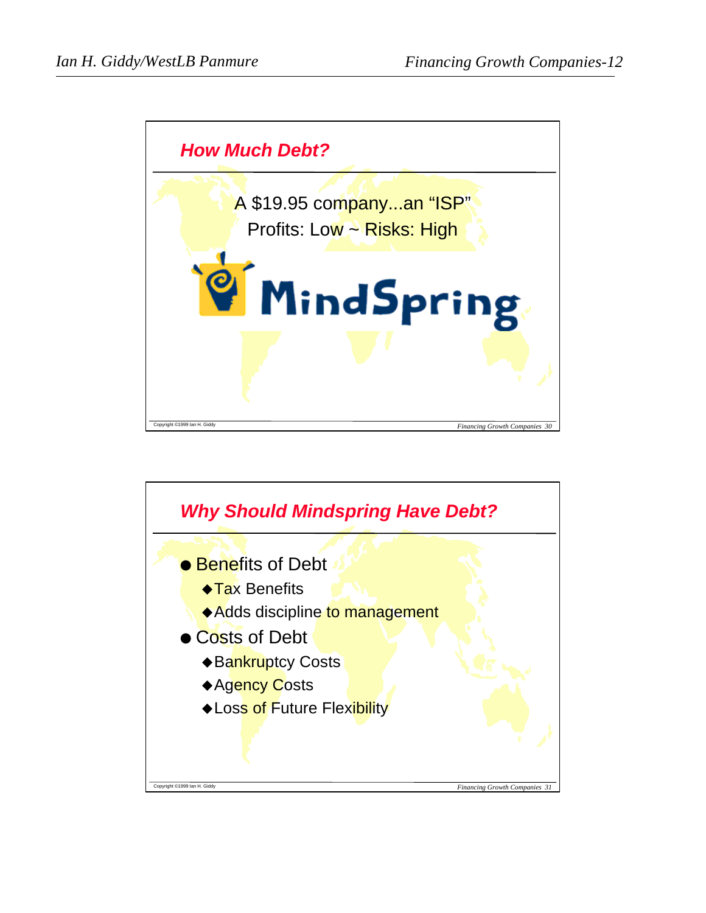

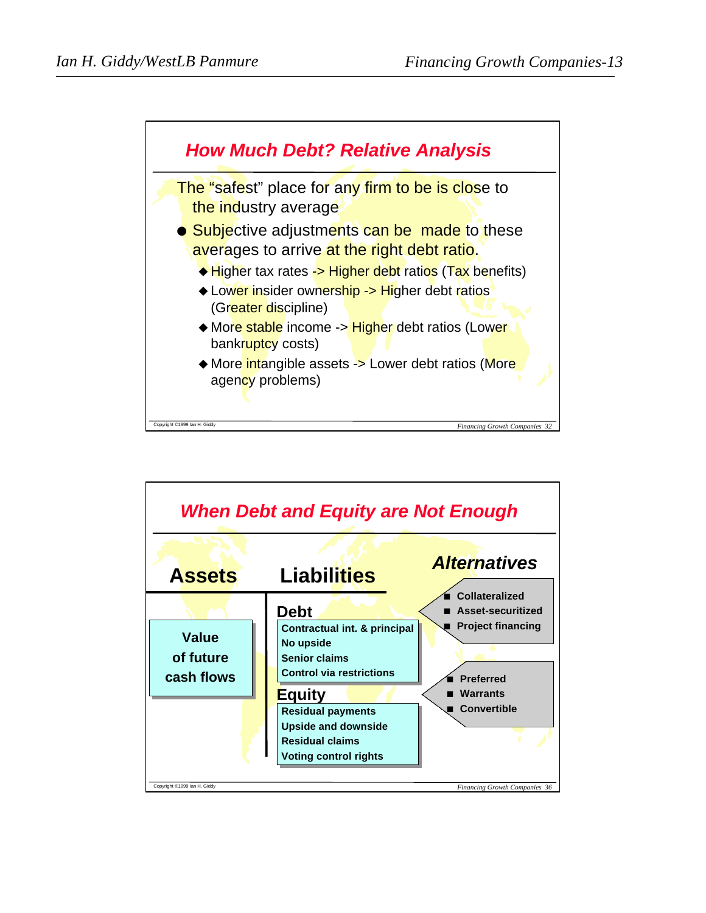

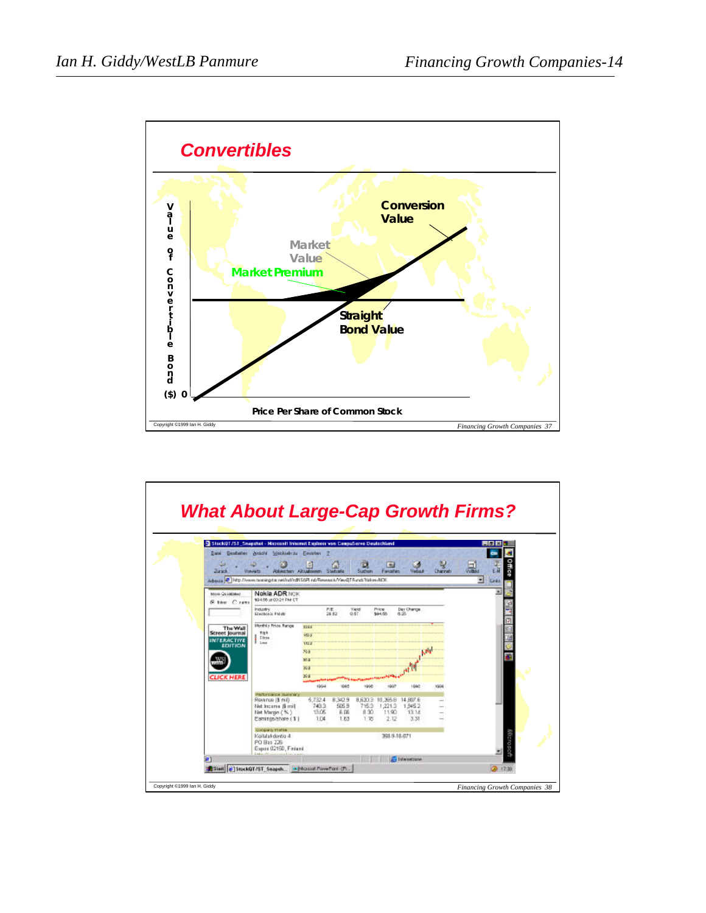

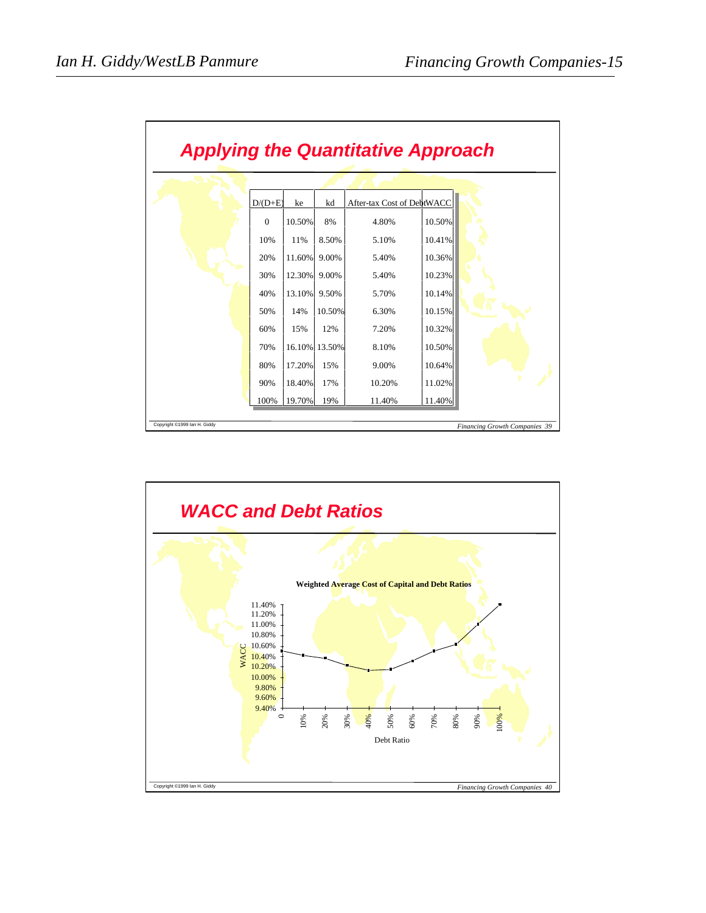г

|           |        |               | <b>Applying the Quantitative Approach</b> |        |  |
|-----------|--------|---------------|-------------------------------------------|--------|--|
| $D/(D+E)$ | ke     | kd            | After-tax Cost of DebtWACC                |        |  |
| $\Omega$  | 10.50% | 8%            | 4.80%                                     | 10.50% |  |
| 10%       | 11%    | 8.50%         | 5.10%                                     | 10.41% |  |
| 20%       | 11.60% | 9.00%         | 5.40%                                     | 10.36% |  |
| 30%       | 12.30% | 9.00%         | 5.40%                                     | 10.23% |  |
| 40%       | 13.10% | 9.50%         | 5.70%                                     | 10.14% |  |
| 50%       | 14%    | 10.50%        | 6.30%                                     | 10.15% |  |
| 60%       | 15%    | 12%           | 7.20%                                     | 10.32% |  |
| 70%       |        | 16.10% 13.50% | 8.10%                                     | 10.50% |  |
| 80%       | 17.20% | 15%           | 9.00%                                     | 10.64% |  |
| 90%       | 18.40% | 17%           | 10.20%                                    | 11.02% |  |
| 100%      | 19.70% | 19%           | 11.40%                                    | 11.40% |  |

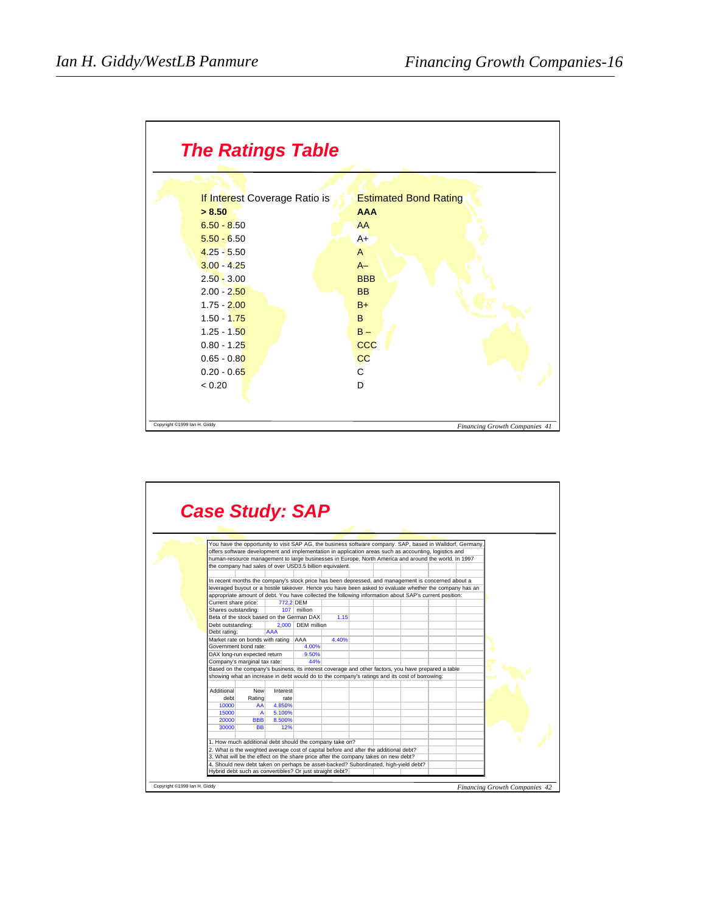

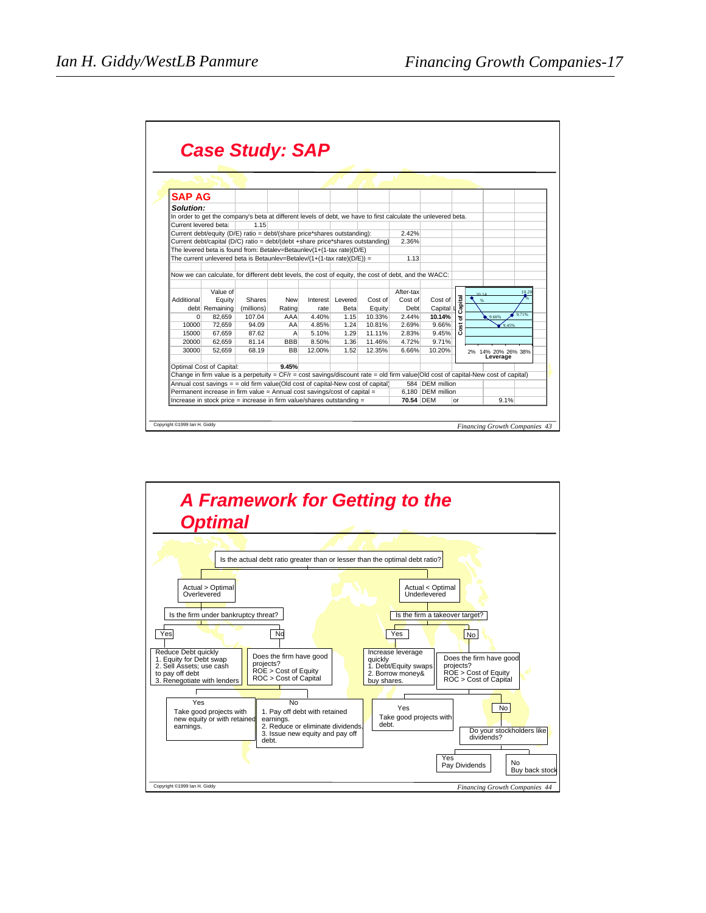| <b>SAP AG</b>         |                                                                                                                                                                |            |                                                                       |        |                  |         |           |                   |         |       |                                |       |
|-----------------------|----------------------------------------------------------------------------------------------------------------------------------------------------------------|------------|-----------------------------------------------------------------------|--------|------------------|---------|-----------|-------------------|---------|-------|--------------------------------|-------|
| Solution:             |                                                                                                                                                                |            |                                                                       |        |                  |         |           |                   |         |       |                                |       |
|                       | In order to get the company's beta at different levels of debt, we have to first calculate the unlevered beta.                                                 |            |                                                                       |        |                  |         |           |                   |         |       |                                |       |
| Current levered beta: |                                                                                                                                                                | 1.15       |                                                                       |        |                  |         |           |                   |         |       |                                |       |
|                       | Current debt/equity (D/E) ratio = debt/(share price*shares outstanding):                                                                                       |            |                                                                       |        |                  |         | 2.42%     |                   |         |       |                                |       |
|                       | Current debt/capital (D/C) ratio = debt/(debt +share price*shares outstanding)                                                                                 |            |                                                                       |        |                  |         | 2.36%     |                   |         |       |                                |       |
|                       | The levered beta is found from: Betalev=Betaunlev(1+(1-tax rate)(D/E)                                                                                          |            |                                                                       |        |                  |         |           |                   |         |       |                                |       |
|                       | The current unlevered beta is Betaunlev=Betalev/(1+(1-tax rate)( $D/E$ )) =                                                                                    |            |                                                                       |        |                  |         | 1.13      |                   |         |       |                                |       |
|                       |                                                                                                                                                                |            |                                                                       |        |                  |         |           |                   |         |       |                                |       |
|                       | Now we can calculate, for different debt levels, the cost of equity, the cost of debt, and the WACC:                                                           |            |                                                                       |        |                  |         |           |                   |         |       |                                |       |
|                       |                                                                                                                                                                |            |                                                                       |        |                  |         |           |                   |         |       |                                |       |
|                       | Value of                                                                                                                                                       |            |                                                                       |        |                  |         | After-tax |                   |         | 10.1. |                                | 10.20 |
| Additional            | Equity                                                                                                                                                         | Shares     | <b>New</b>                                                            |        | Interest Levered | Cost of | Cost of   | Cost of           |         |       |                                |       |
|                       | debt Remaining                                                                                                                                                 | (millions) | Rating                                                                | rate   | <b>Beta</b>      | Equity  | Debt      | Capital L         | Capital |       |                                | 9.71% |
| $\Omega$              | 82.659                                                                                                                                                         | 107.04     | AAA                                                                   | 4.40%  | 1.15             | 10.33%  | 2.44%     | 10.14%            | ৳       |       | 9.66%                          |       |
| 10000                 | 72.659                                                                                                                                                         | 94.09      | AA                                                                    | 4.85%  | 1.24             | 10.81%  | 2.69%     | 9.66%             | Cost    |       | 9.45%                          |       |
| 15000                 | 67,659                                                                                                                                                         | 87.62      | A                                                                     | 5.10%  | 1.29             | 11.11%  | 2.83%     | 9.45%             |         |       |                                |       |
| 20000                 | 62.659                                                                                                                                                         | 81.14      | <b>BBB</b>                                                            | 8.50%  | 1.36             | 11.46%  | 4.72%     | 9.71%             |         |       |                                |       |
| 30000                 | 52.659                                                                                                                                                         | 68.19      | <b>BB</b>                                                             | 12.00% | 1.52             | 12.35%  | 6.66%     | 10.20%            |         |       | 2% 14% 20% 26% 38%<br>Leverage |       |
|                       |                                                                                                                                                                |            | 9.45%                                                                 |        |                  |         |           |                   |         |       |                                |       |
|                       | Optimal Cost of Capital:<br>Change in firm value is a perpetuity = CF/r = cost savings/discount rate = old firm value(Old cost of capital-New cost of capital) |            |                                                                       |        |                  |         |           |                   |         |       |                                |       |
|                       | Annual cost savings = = old firm value(Old cost of capital-New cost of capital)                                                                                |            |                                                                       |        |                  |         |           | 584 DEM million   |         |       |                                |       |
|                       | Permanent increase in firm value = Annual cost savings/cost of capital =                                                                                       |            |                                                                       |        |                  |         |           | 6.180 DEM million |         |       |                                |       |
|                       |                                                                                                                                                                |            | Increase in stock price = increase in firm value/shares outstanding = |        |                  |         | 70.54 DEM |                   | or      |       | 9.1%                           |       |

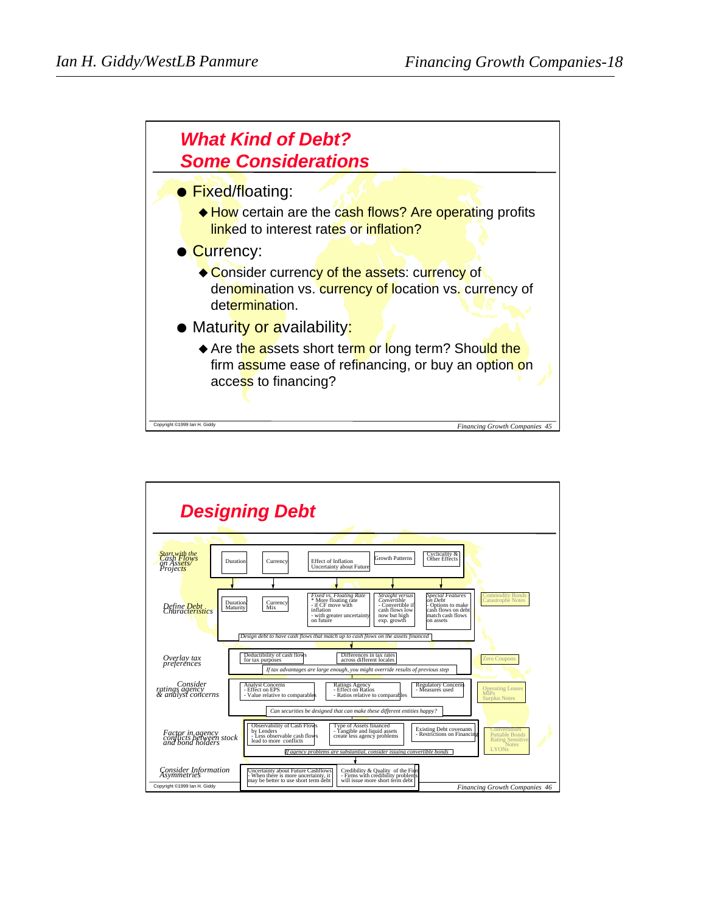